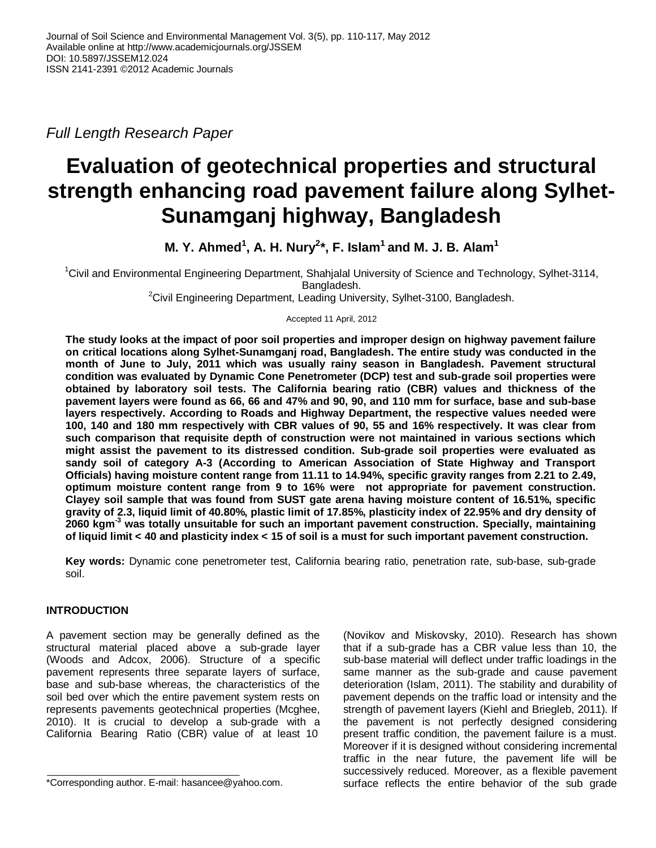*Full Length Research Paper*

# **Evaluation of geotechnical properties and structural strength enhancing road pavement failure along Sylhet-Sunamganj highway, Bangladesh**

**M. Y. Ahmed<sup>1</sup> , A. H. Nury<sup>2</sup> \*, F. Islam<sup>1</sup> and M. J. B. Alam<sup>1</sup>**

<sup>1</sup>Civil and Environmental Engineering Department, Shahjalal University of Science and Technology, Sylhet-3114, Bangladesh.

<sup>2</sup>Civil Engineering Department, Leading University, Sylhet-3100, Bangladesh.

Accepted 11 April, 2012

**The study looks at the impact of poor soil properties and improper design on highway pavement failure on critical locations along Sylhet-Sunamganj road, Bangladesh. The entire study was conducted in the month of June to July, 2011 which was usually rainy season in Bangladesh. Pavement structural condition was evaluated by Dynamic Cone Penetrometer (DCP) test and sub-grade soil properties were obtained by laboratory soil tests. The California bearing ratio (CBR) values and thickness of the pavement layers were found as 66, 66 and 47% and 90, 90, and 110 mm for surface, base and sub-base layers respectively. According to Roads and Highway Department, the respective values needed were 100, 140 and 180 mm respectively with CBR values of 90, 55 and 16% respectively. It was clear from such comparison that requisite depth of construction were not maintained in various sections which might assist the pavement to its distressed condition. Sub-grade soil properties were evaluated as sandy soil of category A-3 (According to American Association of State Highway and Transport Officials) having moisture content range from 11.11 to 14.94%, specific gravity ranges from 2.21 to 2.49, optimum moisture content range from 9 to 16% were not appropriate for pavement construction. Clayey soil sample that was found from SUST gate arena having moisture content of 16.51%, specific gravity of 2.3, liquid limit of 40.80%, plastic limit of 17.85%, plasticity index of 22.95% and dry density of 2060 kgm-3 was totally unsuitable for such an important pavement construction. Specially, maintaining of liquid limit < 40 and plasticity index < 15 of soil is a must for such important pavement construction.**

**Key words:** Dynamic cone penetrometer test, California bearing ratio, penetration rate, sub-base, sub-grade soil.

# **INTRODUCTION**

A pavement section may be generally defined as the structural material placed above a sub-grade layer (Woods and Adcox, 2006). Structure of a specific pavement represents three separate layers of surface, base and sub-base whereas, the characteristics of the soil bed over which the entire pavement system rests on represents pavements geotechnical properties (Mcghee, 2010). It is crucial to develop a sub-grade with a California Bearing Ratio (CBR) value of at least 10

(Novikov and Miskovsky, 2010). Research has shown that if a sub-grade has a CBR value less than 10, the sub-base material will deflect under traffic loadings in the same manner as the sub-grade and cause pavement deterioration (Islam, 2011). The stability and durability of pavement depends on the traffic load or intensity and the strength of pavement layers (Kiehl and Briegleb, 2011). If the pavement is not perfectly designed considering present traffic condition, the pavement failure is a must. Moreover if it is designed without considering incremental traffic in the near future, the pavement life will be successively reduced. Moreover, as a flexible pavement surface reflects the entire behavior of the sub grade

<sup>\*</sup>Corresponding author. E-mail: hasancee@yahoo.com.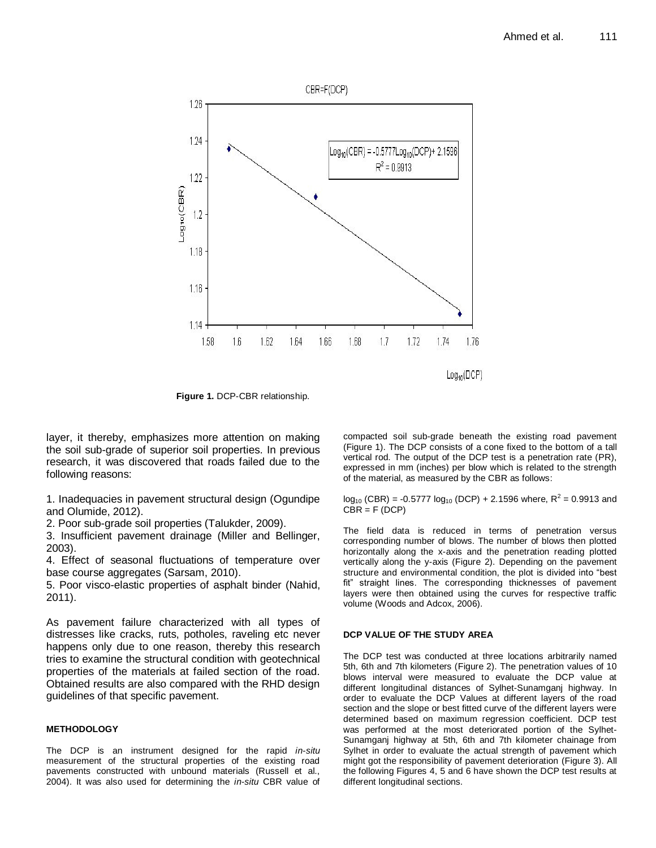

**Figure 1.** DCP-CBR relationship.

layer, it thereby, emphasizes more attention on making the soil sub-grade of superior soil properties. In previous research, it was discovered that roads failed due to the following reasons:

1. Inadequacies in pavement structural design (Ogundipe and Olumide, 2012).

2. Poor sub-grade soil properties (Talukder, 2009).

3. Insufficient pavement drainage (Miller and Bellinger, 2003).

4. Effect of seasonal fluctuations of temperature over base course aggregates (Sarsam, 2010).

5. Poor visco-elastic properties of asphalt binder (Nahid, 2011).

As pavement failure characterized with all types of distresses like cracks, ruts, potholes, raveling etc never happens only due to one reason, thereby this research tries to examine the structural condition with geotechnical properties of the materials at failed section of the road. Obtained results are also compared with the RHD design guidelines of that specific pavement.

## **METHODOLOGY**

The DCP is an instrument designed for the rapid *in-situ* measurement of the structural properties of the existing road pavements constructed with unbound materials (Russell et al., 2004). It was also used for determining the *in-situ* CBR value of compacted soil sub-grade beneath the existing road pavement (Figure 1). The DCP consists of a cone fixed to the bottom of a tall vertical rod. The output of the DCP test is a penetration rate (PR), expressed in mm (inches) per blow which is related to the strength of the material, as measured by the CBR as follows:

 $log_{10}$  (CBR) = -0.5777  $log_{10}$  (DCP) + 2.1596 where, R<sup>2</sup> = 0.9913 and  $CBR = F (DCP)$ 

The field data is reduced in terms of penetration versus corresponding number of blows. The number of blows then plotted horizontally along the x-axis and the penetration reading plotted vertically along the y-axis (Figure 2). Depending on the pavement structure and environmental condition, the plot is divided into "best fit" straight lines. The corresponding thicknesses of pavement layers were then obtained using the curves for respective traffic volume (Woods and Adcox, 2006).

## **DCP VALUE OF THE STUDY AREA**

The DCP test was conducted at three locations arbitrarily named 5th, 6th and 7th kilometers (Figure 2). The penetration values of 10 blows interval were measured to evaluate the DCP value at different longitudinal distances of Sylhet-Sunamganj highway. In order to evaluate the DCP Values at different layers of the road section and the slope or best fitted curve of the different layers were determined based on maximum regression coefficient. DCP test was performed at the most deteriorated portion of the Sylhet-Sunamganj highway at 5th, 6th and 7th kilometer chainage from Sylhet in order to evaluate the actual strength of pavement which might got the responsibility of pavement deterioration (Figure 3). All the following Figures 4, 5 and 6 have shown the DCP test results at different longitudinal sections.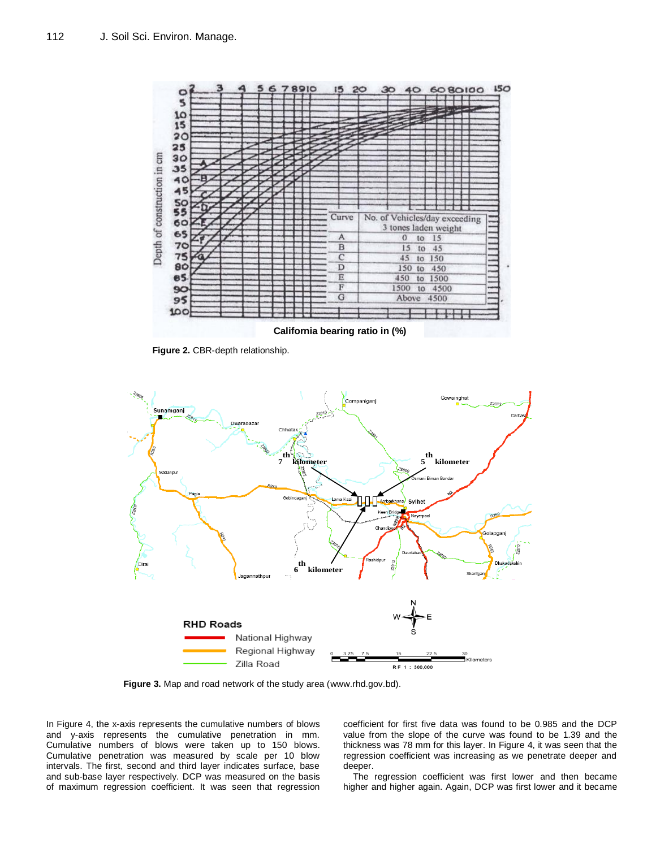

**Figure 2.** CBR-depth relationship.



**Figure 3.** Map and road network of the study area [\(www.rhd.gov.bd\)](http://www.rhd.gov.bd/).

In Figure 4, the x-axis represents the cumulative numbers of blows and y-axis represents the cumulative penetration in mm. Cumulative numbers of blows were taken up to 150 blows. Cumulative penetration was measured by scale per 10 blow intervals. The first, second and third layer indicates surface, base and sub-base layer respectively. DCP was measured on the basis of maximum regression coefficient. It was seen that regression

coefficient for first five data was found to be 0.985 and the DCP value from the slope of the curve was found to be 1.39 and the thickness was 78 mm for this layer. In Figure 4, it was seen that the regression coefficient was increasing as we penetrate deeper and deeper.

The regression coefficient was first lower and then became higher and higher again. Again, DCP was first lower and it became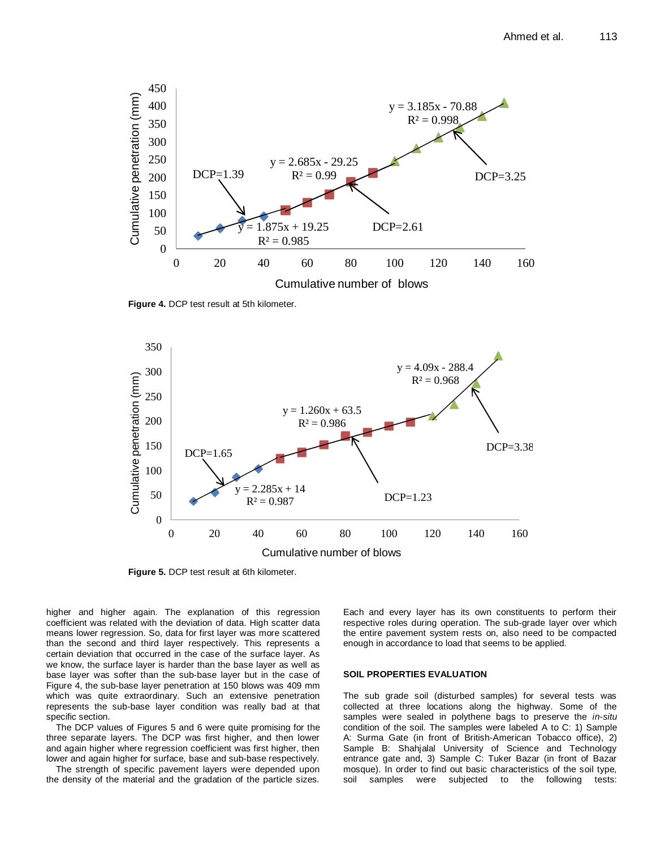

**Figure 4.** DCP test result at 5th kilometer.



**Figure 5.** DCP test result at 6th kilometer.

higher and higher again. The explanation of this regression coefficient was related with the deviation of data. High scatter data means lower regression. So, data for first layer was more scattered than the second and third layer respectively. This represents a certain deviation that occurred in the case of the surface layer. As we know, the surface layer is harder than the base layer as well as base layer was softer than the sub-base layer but in the case of Figure 4, the sub-base layer penetration at 150 blows was 409 mm which was quite extraordinary. Such an extensive penetration represents the sub-base layer condition was really bad at that specific section.

The DCP values of Figures 5 and 6 were quite promising for the three separate layers. The DCP was first higher, and then lower and again higher where regression coefficient was first higher, then lower and again higher for surface, base and sub-base respectively.

The strength of specific pavement layers were depended upon the density of the material and the gradation of the particle sizes.

Each and every layer has its own constituents to perform their respective roles during operation. The sub-grade layer over which the entire pavement system rests on, also need to be compacted enough in accordance to load that seems to be applied.

#### **SOIL PROPERTIES EVALUATION**

The sub grade soil (disturbed samples) for several tests was collected at three locations along the highway. Some of the samples were sealed in polythene bags to preserve the *in-situ* condition of the soil. The samples were labeled A to C: 1) Sample A: Surma Gate (in front of British-American Tobacco office), 2) Sample B: Shahjalal University of Science and Technology entrance gate and, 3) Sample C: Tuker Bazar (in front of Bazar mosque). In order to find out basic characteristics of the soil type, soil samples were subjected to the following tests: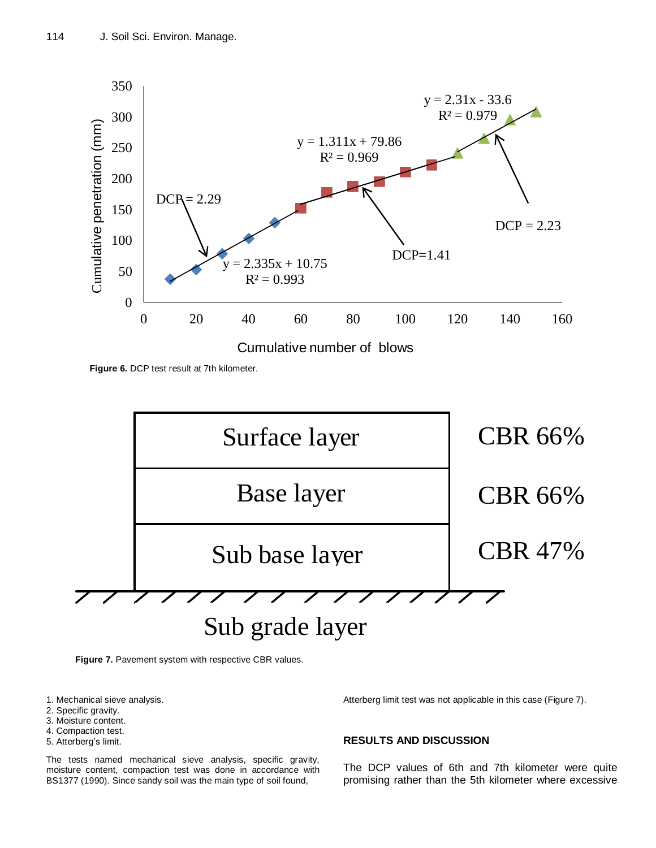

**Figure 6.** DCP test result at 7th kilometer.



**Figure 7.** Pavement system with respective CBR values.<br> **Figure 7.** Pavement system with respective CBR values.

- 1. Mechanical sieve analysis.
- 2. Specific gravity.
- 3. Moisture content.
- 4. Compaction test.
- 5. Atterberg's limit.

The tests named mechanical sieve analysis, specific gravity, moisture content, compaction test was done in accordance with BS1377 (1990). Since sandy soil was the main type of soil found,

Atterberg limit test was not applicable in this case (Figure 7).

## **RESULTS AND DISCUSSION**

The DCP values of 6th and 7th kilometer were quite promising rather than the 5th kilometer where excessive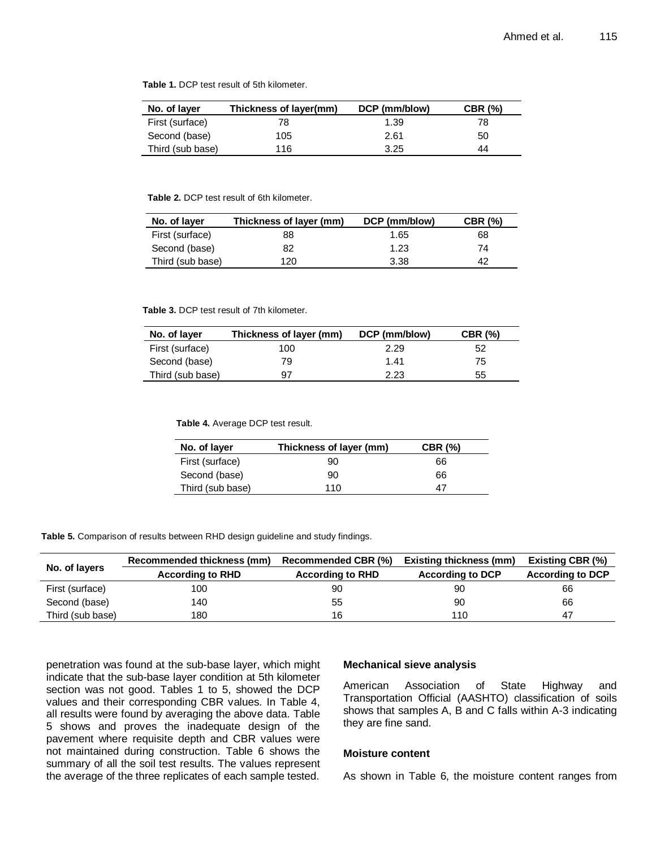| <b>Table 1.</b> DCP test result of 5th kilometer. |  |  |  |
|---------------------------------------------------|--|--|--|
|---------------------------------------------------|--|--|--|

| No. of layer     | Thickness of layer(mm) | DCP (mm/blow) | <b>CBR (%)</b> |
|------------------|------------------------|---------------|----------------|
| First (surface)  | 78.                    | 1.39          | 78.            |
| Second (base)    | 105                    | 2.61          | 50             |
| Third (sub base) | 116                    | 3.25          | 44             |

#### **Table 2.** DCP test result of 6th kilometer.

| No. of layer     | Thickness of layer (mm) | DCP (mm/blow) | <b>CBR (%)</b> |
|------------------|-------------------------|---------------|----------------|
| First (surface)  | 88                      | 1.65          | 68             |
| Second (base)    | 82                      | 1.23          | 74             |
| Third (sub base) | 120                     | 3.38          | 42             |

#### **Table 3.** DCP test result of 7th kilometer.

| Thickness of layer (mm)<br>No. of layer |     | DCP (mm/blow) | <b>CBR (%)</b> |
|-----------------------------------------|-----|---------------|----------------|
| First (surface)                         | 100 | 2.29          | 52             |
| Second (base)                           | 79  | 1.41          | 75             |
| Third (sub base)                        | 97  | 2.23          | 55             |

**Table 4.** Average DCP test result.

| No. of layer     | Thickness of layer (mm) | <b>CBR (%)</b> |
|------------------|-------------------------|----------------|
| First (surface)  | 90                      | 66             |
| Second (base)    | 90                      | 66             |
| Third (sub base) | 110                     |                |

**Table 5.** Comparison of results between RHD design guideline and study findings.

|                  | Recommended thickness (mm) | <b>Recommended CBR (%)</b> | <b>Existing thickness (mm)</b> | <b>Existing CBR (%)</b> |
|------------------|----------------------------|----------------------------|--------------------------------|-------------------------|
| No. of layers    | <b>According to RHD</b>    | <b>According to RHD</b>    | <b>According to DCP</b>        | <b>According to DCP</b> |
| First (surface)  | 100                        | 90                         | 90                             | 66                      |
| Second (base)    | 140                        | 55                         | 90                             | 66                      |
| Third (sub base) | 180                        | 16                         | 110                            | 47                      |

penetration was found at the sub-base layer, which might indicate that the sub-base layer condition at 5th kilometer section was not good. Tables 1 to 5, showed the DCP values and their corresponding CBR values. In Table 4, all results were found by averaging the above data. Table 5 shows and proves the inadequate design of the pavement where requisite depth and CBR values were not maintained during construction. Table 6 shows the summary of all the soil test results. The values represent the average of the three replicates of each sample tested.

#### **Mechanical sieve analysis**

American Association of State Highway and Transportation Official (AASHTO) classification of soils shows that samples A, B and C falls within A-3 indicating they are fine sand.

## **Moisture content**

As shown in Table 6, the moisture content ranges from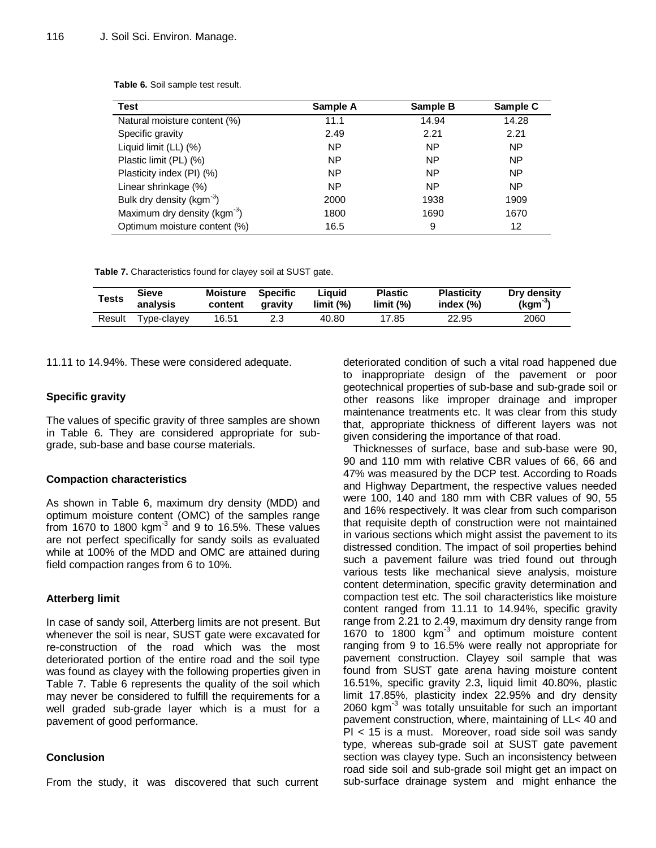| Test                                     | Sample A | Sample B  | Sample C  |
|------------------------------------------|----------|-----------|-----------|
| Natural moisture content (%)             | 11.1     | 14.94     | 14.28     |
| Specific gravity                         | 2.49     | 2.21      | 2.21      |
| Liquid limit (LL) (%)                    | NP       | <b>NP</b> | <b>NP</b> |
| Plastic limit (PL) (%)                   | NP       | <b>NP</b> | <b>NP</b> |
| Plasticity index (PI) (%)                | NP       | <b>NP</b> | <b>NP</b> |
| Linear shrinkage (%)                     | NP       | <b>NP</b> | <b>NP</b> |
| Bulk dry density (kgm <sup>-3</sup> )    | 2000     | 1938      | 1909      |
| Maximum dry density (kgm <sup>-3</sup> ) | 1800     | 1690      | 1670      |
| Optimum moisture content (%)             | 16.5     | 9         | 12        |

**Table 6.** Soil sample test result.

**Table 7.** Characteristics found for clayey soil at SUST gate.

| <b>Tests</b> | Sieve       | Moisture | Specific | Liauid    | <b>Plastic</b> | <b>Plasticity</b> | Dry density |
|--------------|-------------|----------|----------|-----------|----------------|-------------------|-------------|
|              | analysis    | content  | aravity  | limit (%) | limit (%)      | index $(\%)$      | $(kgm-3)$   |
| Result       | Type-clayey | 16.51    |          | 40.80     | 17.85          | 22.95             | 2060        |

11.11 to 14.94%. These were considered adequate.

#### **Specific gravity**

The values of specific gravity of three samples are shown in Table 6. They are considered appropriate for subgrade, sub-base and base course materials.

## **Compaction characteristics**

As shown in Table 6, maximum dry density (MDD) and optimum moisture content (OMC) of the samples range from 1670 to 1800 kgm $^3$  and 9 to 16.5%. These values are not perfect specifically for sandy soils as evaluated while at 100% of the MDD and OMC are attained during field compaction ranges from 6 to 10%.

## **Atterberg limit**

In case of sandy soil, Atterberg limits are not present. But whenever the soil is near, SUST gate were excavated for re-construction of the road which was the most deteriorated portion of the entire road and the soil type was found as clayey with the following properties given in Table 7. Table 6 represents the quality of the soil which may never be considered to fulfill the requirements for a well graded sub-grade layer which is a must for a pavement of good performance.

## **Conclusion**

From the study, it was discovered that such current

deteriorated condition of such a vital road happened due to inappropriate design of the pavement or poor geotechnical properties of sub-base and sub-grade soil or other reasons like improper drainage and improper maintenance treatments etc. It was clear from this study that, appropriate thickness of different layers was not given considering the importance of that road.

Thicknesses of surface, base and sub-base were 90, 90 and 110 mm with relative CBR values of 66, 66 and 47% was measured by the DCP test. According to Roads and Highway Department, the respective values needed were 100, 140 and 180 mm with CBR values of 90, 55 and 16% respectively. It was clear from such comparison that requisite depth of construction were not maintained in various sections which might assist the pavement to its distressed condition. The impact of soil properties behind such a pavement failure was tried found out through various tests like mechanical sieve analysis, moisture content determination, specific gravity determination and compaction test etc. The soil characteristics like moisture content ranged from 11.11 to 14.94%, specific gravity range from 2.21 to 2.49, maximum dry density range from 1670 to 1800 kgm<sup>3</sup> and optimum moisture content ranging from 9 to 16.5% were really not appropriate for pavement construction. Clayey soil sample that was found from SUST gate arena having moisture content 16.51%, specific gravity 2.3, liquid limit 40.80%, plastic limit 17.85%, plasticity index 22.95% and dry density 2060 kgm $<sup>3</sup>$  was totally unsuitable for such an important</sup> pavement construction, where, maintaining of LL< 40 and PI < 15 is a must. Moreover, road side soil was sandy type, whereas sub-grade soil at SUST gate pavement section was clayey type. Such an inconsistency between road side soil and sub-grade soil might get an impact on sub-surface drainage system and might enhance the